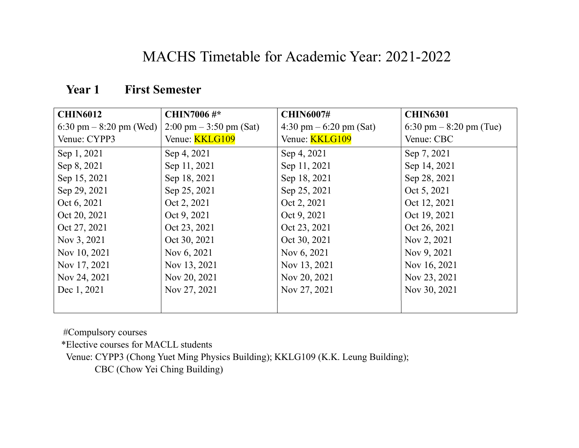## MACHS Timetable for Academic Year: 2021-2022

| <b>CHIN6012</b>           | <b>CHIN7006</b> #*                        | <b>CHIN6007#</b>                          | <b>CHIN6301</b>          |
|---------------------------|-------------------------------------------|-------------------------------------------|--------------------------|
| 6:30 pm $-$ 8:20 pm (Wed) | $2:00 \text{ pm} - 3:50 \text{ pm}$ (Sat) | $4:30 \text{ pm} - 6:20 \text{ pm} (Sat)$ | 6:30 pm $-8:20$ pm (Tue) |
| Venue: CYPP3              | Venue: <b>KKLG109</b>                     | Venue: <b>KKLG109</b>                     | Venue: CBC               |
| Sep 1, 2021               | Sep 4, 2021                               | Sep 4, 2021                               | Sep 7, 2021              |
| Sep 8, 2021               | Sep 11, 2021                              | Sep 11, 2021                              | Sep 14, 2021             |
| Sep 15, 2021              | Sep 18, 2021                              | Sep 18, 2021                              | Sep 28, 2021             |
| Sep 29, 2021              | Sep 25, 2021                              | Sep 25, 2021                              | Oct 5, 2021              |
| Oct 6, 2021               | Oct 2, 2021                               | Oct 2, 2021                               | Oct 12, 2021             |
| Oct 20, 2021              | Oct 9, 2021                               | Oct 9, 2021                               | Oct 19, 2021             |
| Oct 27, 2021              | Oct 23, 2021                              | Oct 23, 2021                              | Oct 26, 2021             |
| Nov 3, 2021               | Oct 30, 2021                              | Oct 30, 2021                              | Nov 2, 2021              |
| Nov 10, 2021              | Nov 6, 2021                               | Nov 6, 2021                               | Nov 9, 2021              |
| Nov 17, 2021              | Nov 13, 2021                              | Nov 13, 2021                              | Nov 16, 2021             |
| Nov 24, 2021              | Nov 20, 2021                              | Nov 20, 2021                              | Nov 23, 2021             |
| Dec 1, 2021               | Nov 27, 2021                              | Nov 27, 2021                              | Nov 30, 2021             |
|                           |                                           |                                           |                          |

## Year 1 First Semester

#Compulsory courses

\*Elective courses for MACLL students

Venue: CYPP3 (Chong Yuet Ming Physics Building); KKLG109 (K.K. Leung Building);

CBC (Chow Yei Ching Building)